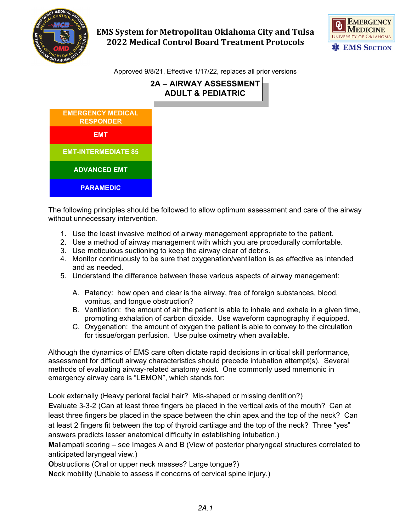

# **EMS System for Metropolitan Oklahoma City and Tulsa 2022 Medical Control Board Treatment Protocols**



Approved 9/8/21, Effective 1/17/22, replaces all prior versions

## **2A – AIRWAY ASSESSMENT ADULT & PEDIATRIC**



The following principles should be followed to allow optimum assessment and care of the airway without unnecessary intervention.

- 1. Use the least invasive method of airway management appropriate to the patient.
- 2. Use a method of airway management with which you are procedurally comfortable.
- 3. Use meticulous suctioning to keep the airway clear of debris.
- 4. Monitor continuously to be sure that oxygenation/ventilation is as effective as intended and as needed.
- 5. Understand the difference between these various aspects of airway management:
	- A. Patency: how open and clear is the airway, free of foreign substances, blood, vomitus, and tongue obstruction?
	- B. Ventilation: the amount of air the patient is able to inhale and exhale in a given time, promoting exhalation of carbon dioxide. Use waveform capnography if equipped.
	- C. Oxygenation: the amount of oxygen the patient is able to convey to the circulation for tissue/organ perfusion. Use pulse oximetry when available.

Although the dynamics of EMS care often dictate rapid decisions in critical skill performance, assessment for difficult airway characteristics should precede intubation attempt(s). Several methods of evaluating airway-related anatomy exist. One commonly used mnemonic in emergency airway care is "LEMON", which stands for:

**L**ook externally (Heavy perioral facial hair? Mis-shaped or missing dentition?)

**E**valuate 3-3-2 (Can at least three fingers be placed in the vertical axis of the mouth? Can at least three fingers be placed in the space between the chin apex and the top of the neck? Can at least 2 fingers fit between the top of thyroid cartilage and the top of the neck? Three "yes" answers predicts lesser anatomical difficulty in establishing intubation.)

**M**allampati scoring – see Images A and B (View of posterior pharyngeal structures correlated to anticipated laryngeal view.)

**O**bstructions (Oral or upper neck masses? Large tongue?)

**N**eck mobility (Unable to assess if concerns of cervical spine injury.)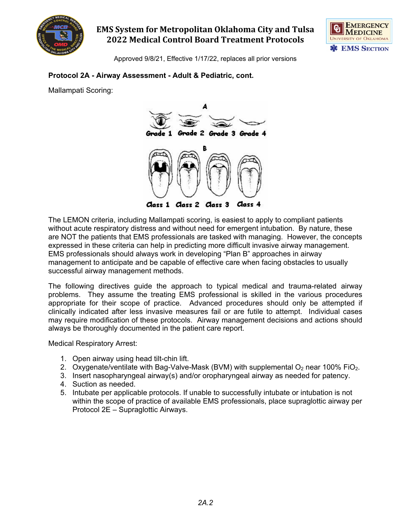

## **EMS System for Metropolitan Oklahoma City and Tulsa 2022 Medical Control Board Treatment Protocols**



Approved 9/8/21, Effective 1/17/22, replaces all prior versions

#### **Protocol 2A - Airway Assessment - Adult & Pediatric, cont.**

Mallampati Scoring:



The LEMON criteria, including Mallampati scoring, is easiest to apply to compliant patients without acute respiratory distress and without need for emergent intubation. By nature, these are NOT the patients that EMS professionals are tasked with managing. However, the concepts expressed in these criteria can help in predicting more difficult invasive airway management. EMS professionals should always work in developing "Plan B" approaches in airway management to anticipate and be capable of effective care when facing obstacles to usually successful airway management methods.

The following directives guide the approach to typical medical and trauma-related airway problems. They assume the treating EMS professional is skilled in the various procedures appropriate for their scope of practice. Advanced procedures should only be attempted if clinically indicated after less invasive measures fail or are futile to attempt. Individual cases may require modification of these protocols. Airway management decisions and actions should always be thoroughly documented in the patient care report.

Medical Respiratory Arrest:

- 1. Open airway using head tilt-chin lift.
- 2. Oxygenate/ventilate with Bag-Valve-Mask (BVM) with supplemental  $O_2$  near 100% FiO<sub>2</sub>.
- 3. Insert nasopharyngeal airway(s) and/or oropharyngeal airway as needed for patency.
- 4. Suction as needed.
- 5. Intubate per applicable protocols. If unable to successfully intubate or intubation is not within the scope of practice of available EMS professionals, place supraglottic airway per Protocol 2E – Supraglottic Airways.